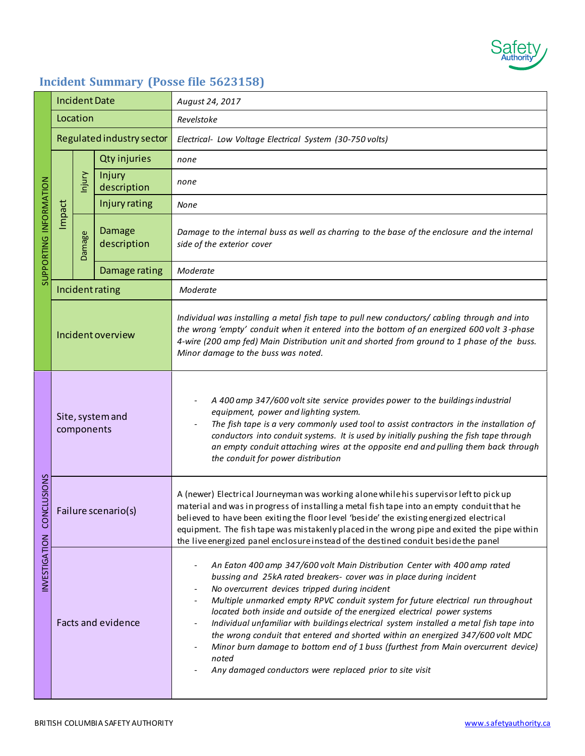

# **Incident Summary (Posse file 5623158)**

| SUPPORTING INFORMATION          | <b>Incident Date</b>           |               |                       | August 24, 2017                                                                                                                                                                                                                                                                                                                                                                                                                                                                                                                                                                                                                                                                                                               |
|---------------------------------|--------------------------------|---------------|-----------------------|-------------------------------------------------------------------------------------------------------------------------------------------------------------------------------------------------------------------------------------------------------------------------------------------------------------------------------------------------------------------------------------------------------------------------------------------------------------------------------------------------------------------------------------------------------------------------------------------------------------------------------------------------------------------------------------------------------------------------------|
|                                 | Location                       |               |                       | Revelstoke                                                                                                                                                                                                                                                                                                                                                                                                                                                                                                                                                                                                                                                                                                                    |
|                                 | Regulated industry sector      |               |                       | Electrical- Low Voltage Electrical System (30-750 volts)                                                                                                                                                                                                                                                                                                                                                                                                                                                                                                                                                                                                                                                                      |
|                                 | Impact                         |               | <b>Qty injuries</b>   | none                                                                                                                                                                                                                                                                                                                                                                                                                                                                                                                                                                                                                                                                                                                          |
|                                 |                                | hjury         | Injury<br>description | none                                                                                                                                                                                                                                                                                                                                                                                                                                                                                                                                                                                                                                                                                                                          |
|                                 |                                |               | Injury rating         | None                                                                                                                                                                                                                                                                                                                                                                                                                                                                                                                                                                                                                                                                                                                          |
|                                 |                                | <b>Damage</b> | Damage<br>description | Damage to the internal buss as well as charring to the base of the enclosure and the internal<br>side of the exterior cover                                                                                                                                                                                                                                                                                                                                                                                                                                                                                                                                                                                                   |
|                                 |                                |               | Damage rating         | Moderate                                                                                                                                                                                                                                                                                                                                                                                                                                                                                                                                                                                                                                                                                                                      |
|                                 | Incident rating                |               |                       | Moderate                                                                                                                                                                                                                                                                                                                                                                                                                                                                                                                                                                                                                                                                                                                      |
|                                 | Incident overview              |               |                       | Individual was installing a metal fish tape to pull new conductors/ cabling through and into<br>the wrong 'empty' conduit when it entered into the bottom of an energized 600 volt 3-phase<br>4-wire (200 amp fed) Main Distribution unit and shorted from ground to 1 phase of the buss.<br>Minor damage to the buss was noted.                                                                                                                                                                                                                                                                                                                                                                                              |
| NCLUSIONS<br>S<br>INVESTIGATION | Site, system and<br>components |               |                       | A 400 amp 347/600 volt site service provides power to the buildings industrial<br>equipment, power and lighting system.<br>The fish tape is a very commonly used tool to assist contractors in the installation of<br>conductors into conduit systems. It is used by initially pushing the fish tape through<br>an empty conduit attaching wires at the opposite end and pulling them back through<br>the conduit for power distribution                                                                                                                                                                                                                                                                                      |
|                                 | Failure scenario(s)            |               |                       | A (newer) Electrical Journeyman was working alone while his supervisor left to pick up<br>material and was in progress of installing a metal fish tape into an empty conduit that he<br>believed to have been exiting the floor level 'beside' the existing energized electrical<br>equipment. The fish tape was mistakenly placed in the wrong pipe and exited the pipe within<br>the live energized panel enclosure instead of the destined conduit beside the panel                                                                                                                                                                                                                                                        |
|                                 | <b>Facts and evidence</b>      |               |                       | An Eaton 400 amp 347/600 volt Main Distribution Center with 400 amp rated<br>bussing and 25kA rated breakers- cover was in place during incident<br>No overcurrent devices tripped during incident<br>Multiple unmarked empty RPVC conduit system for future electrical run throughout<br>located both inside and outside of the energized electrical power systems<br>Individual unfamiliar with buildings electrical system installed a metal fish tape into<br>the wrong conduit that entered and shorted within an energized 347/600 volt MDC<br>Minor burn damage to bottom end of 1 buss (furthest from Main overcurrent device)<br>$\overline{a}$<br>noted<br>Any damaged conductors were replaced prior to site visit |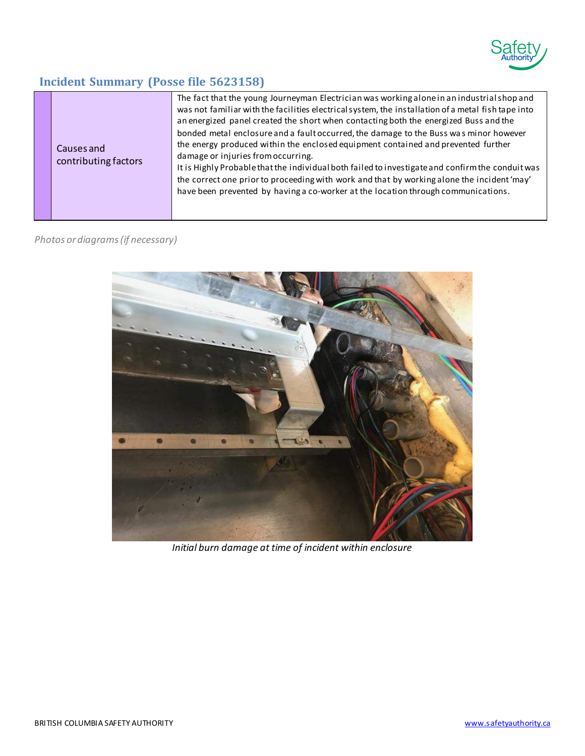

## **Incident Summary (Posse file 5623158)**

| Causes and<br>contributing factors | The fact that the young Journeyman Electrician was working alone in an industrial shop and<br>was not familiar with the facilities electrical system, the installation of a metal fish tape into<br>an energized panel created the short when contacting both the energized Buss and the<br>bonded metal enclosure and a fault occurred, the damage to the Buss was minor however<br>the energy produced within the enclosed equipment contained and prevented further<br>damage or injuries from occurring.<br>It is Highly Probable that the individual both failed to investigate and confirm the conduit was<br>the correct one prior to proceeding with work and that by working alone the incident 'may'<br>have been prevented by having a co-worker at the location through communications. |
|------------------------------------|-----------------------------------------------------------------------------------------------------------------------------------------------------------------------------------------------------------------------------------------------------------------------------------------------------------------------------------------------------------------------------------------------------------------------------------------------------------------------------------------------------------------------------------------------------------------------------------------------------------------------------------------------------------------------------------------------------------------------------------------------------------------------------------------------------|
|                                    |                                                                                                                                                                                                                                                                                                                                                                                                                                                                                                                                                                                                                                                                                                                                                                                                     |

### *Photos or diagrams (if necessary)*



*Initial burn damage at time of incident within enclosure*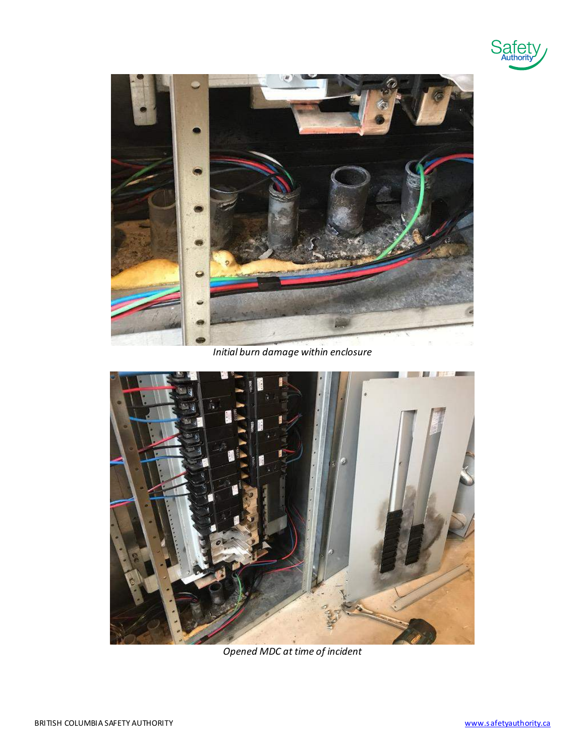



*Initial burn damage within enclosure*



*Opened MDC at time of incident*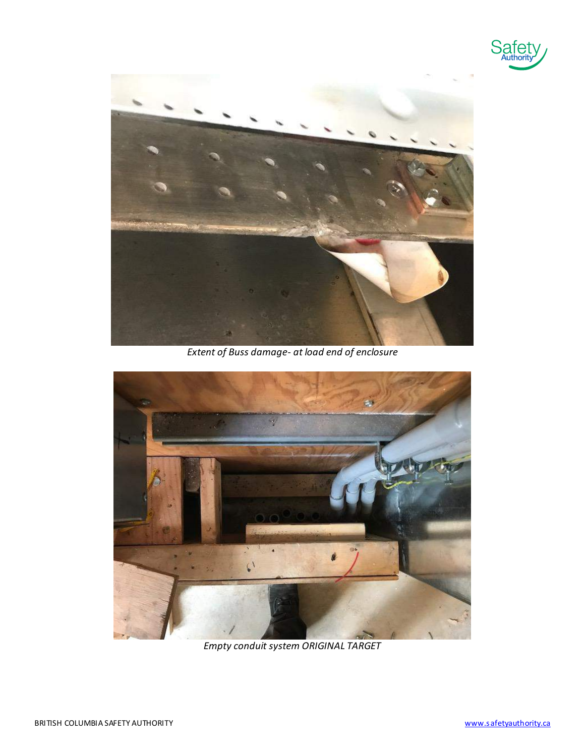



*Extent of Buss damage- at load end of enclosure*



*Empty conduit system ORIGINAL TARGET*